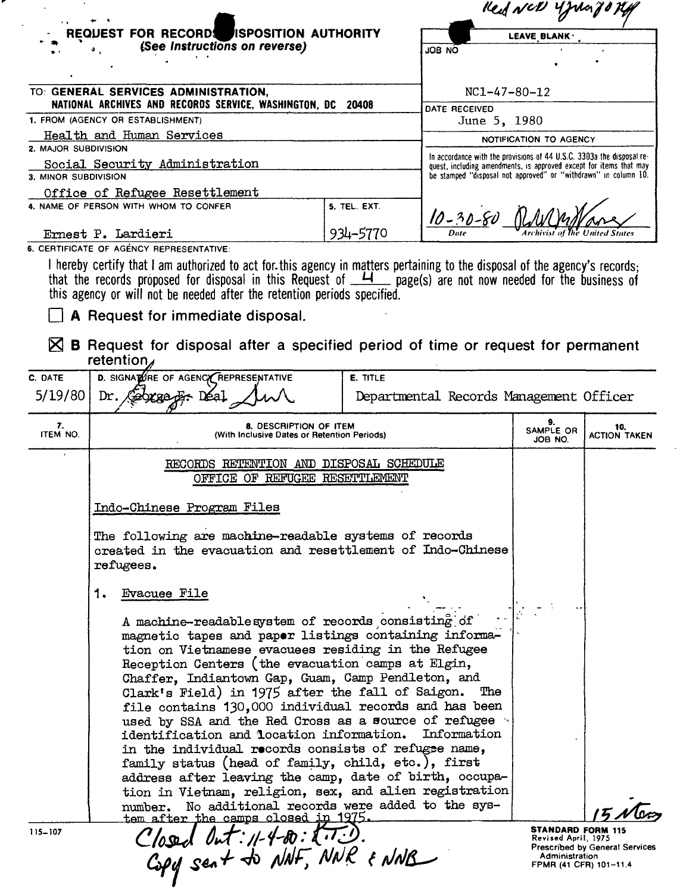| (See Instructions on reverse)<br>ON 8OL<br>$NC1 - 47 - 80 - 12$<br>TO: GENERAL SERVICES ADMINISTRATION,<br>NATIONAL ARCHIVES AND RECORDS SERVICE, WASHINGTON, DC 20408<br>DATE RECEIVED<br>June 5, 1980<br>Health and Human Services<br>NOTIFICATION TO AGENCY<br>In accordance with the provisions of 44 U.S.C. 3303a the disposal re-<br>Social Security Administration<br>quest, including amendments, is approved except for items that may<br>be stamped "disposal not approved" or "withdrawn" in column 10.<br>Office of Refugee Resettlement<br>5. TEL. EXT.<br>$10 - 30 - 80$<br>934-5770<br><b>Archivist of the United States</b><br>Ernest P. Lardieri | REQUEST FOR RECORDS ISPOSITION AUTHORITY | LEAVE BLANK · |  |  |
|-------------------------------------------------------------------------------------------------------------------------------------------------------------------------------------------------------------------------------------------------------------------------------------------------------------------------------------------------------------------------------------------------------------------------------------------------------------------------------------------------------------------------------------------------------------------------------------------------------------------------------------------------------------------|------------------------------------------|---------------|--|--|
| 1. FROM (AGENCY OR ESTABLISHMENT)                                                                                                                                                                                                                                                                                                                                                                                                                                                                                                                                                                                                                                 |                                          |               |  |  |
| 2. MAJOR SUBDIVISION<br>3. MINOR SUBDIVISION<br>4. NAME OF PERSON WITH WHOM TO CONFER                                                                                                                                                                                                                                                                                                                                                                                                                                                                                                                                                                             |                                          |               |  |  |
|                                                                                                                                                                                                                                                                                                                                                                                                                                                                                                                                                                                                                                                                   |                                          |               |  |  |
|                                                                                                                                                                                                                                                                                                                                                                                                                                                                                                                                                                                                                                                                   |                                          |               |  |  |
|                                                                                                                                                                                                                                                                                                                                                                                                                                                                                                                                                                                                                                                                   |                                          |               |  |  |
|                                                                                                                                                                                                                                                                                                                                                                                                                                                                                                                                                                                                                                                                   |                                          |               |  |  |
|                                                                                                                                                                                                                                                                                                                                                                                                                                                                                                                                                                                                                                                                   |                                          |               |  |  |
|                                                                                                                                                                                                                                                                                                                                                                                                                                                                                                                                                                                                                                                                   |                                          |               |  |  |
|                                                                                                                                                                                                                                                                                                                                                                                                                                                                                                                                                                                                                                                                   |                                          |               |  |  |
|                                                                                                                                                                                                                                                                                                                                                                                                                                                                                                                                                                                                                                                                   |                                          |               |  |  |
|                                                                                                                                                                                                                                                                                                                                                                                                                                                                                                                                                                                                                                                                   |                                          |               |  |  |
|                                                                                                                                                                                                                                                                                                                                                                                                                                                                                                                                                                                                                                                                   |                                          |               |  |  |

that the records proposed for disposal in this Request of \_<del>\_\_I</del>\_\_\_ page(s) are not now needed for the business of this agency or will not be needed after the retention periods specified.

 $\Box$  A Request for immediate disposal.

..

 $\boxtimes$  B Request for disposal after a specified period of time or request for permanent retention,

| C. DATE<br>5/19/80<br>7.<br>ITEM NO. | D. SIGNATURE OF AGENCY REPRESENTATIVE<br>Gebreeger Déal<br>Dr.<br><b>8. DESCRIPTION OF ITEM</b><br>(With Inclusive Dates or Retention Periods)<br>RECORDS RETENTION AND DISPOSAL SCHEDULE<br>OFFICE OF REFUGEE RESETTLEMENT                                                                                                                                                                                                                                                                                                                                                                                                                                                                                                                                                                                                                                                                                                          | E. TITLE<br>Departmental Records Management Officer | 9.<br>SAMPLE OR<br>JOB NO.                      | 10.<br><b>ACTION TAKEN</b> |
|--------------------------------------|--------------------------------------------------------------------------------------------------------------------------------------------------------------------------------------------------------------------------------------------------------------------------------------------------------------------------------------------------------------------------------------------------------------------------------------------------------------------------------------------------------------------------------------------------------------------------------------------------------------------------------------------------------------------------------------------------------------------------------------------------------------------------------------------------------------------------------------------------------------------------------------------------------------------------------------|-----------------------------------------------------|-------------------------------------------------|----------------------------|
|                                      |                                                                                                                                                                                                                                                                                                                                                                                                                                                                                                                                                                                                                                                                                                                                                                                                                                                                                                                                      |                                                     |                                                 |                            |
|                                      |                                                                                                                                                                                                                                                                                                                                                                                                                                                                                                                                                                                                                                                                                                                                                                                                                                                                                                                                      |                                                     |                                                 |                            |
|                                      |                                                                                                                                                                                                                                                                                                                                                                                                                                                                                                                                                                                                                                                                                                                                                                                                                                                                                                                                      |                                                     |                                                 |                            |
|                                      |                                                                                                                                                                                                                                                                                                                                                                                                                                                                                                                                                                                                                                                                                                                                                                                                                                                                                                                                      |                                                     |                                                 |                            |
|                                      | Indo-Chinese Program Files                                                                                                                                                                                                                                                                                                                                                                                                                                                                                                                                                                                                                                                                                                                                                                                                                                                                                                           |                                                     |                                                 |                            |
|                                      | The following are machine-readable systems of records<br>created in the evacuation and resettlement of Indo-Chinese<br>refugees.                                                                                                                                                                                                                                                                                                                                                                                                                                                                                                                                                                                                                                                                                                                                                                                                     |                                                     |                                                 |                            |
| 1.<br>$115 - 107$                    | <b>Evacuee File</b><br>A machine-readable system of records consisting of<br>magnetic tapes and paper listings containing informa-<br>tion on Vietnamese evacuees residing in the Refugee<br>Reception Centers (the evacuation camps at Elgin,<br>Chaffer, Indiantown Gap, Guam, Camp Pendleton, and<br>Clark's Field) in 1975 after the fall of Saigon.<br>file contains 130,000 individual records and has been<br>used by SSA and the Red Cross as a source of refugee .<br>identification and location information. Information<br>in the individual records consists of refugee name,<br>family status (head of family, child, etc.), first<br>address after leaving the camp, date of birth, occupa-<br>tion in Vietnam, religion, sex, and alien registration<br>No additional records were added to the sys-<br>number.<br>tem after the camps closed in 1975.<br>Closed Out: 11-4-80: 2.7.3.<br>Copy sent to NAF, NNR & NNB |                                                     | <b>STANDARD FORM 115</b><br>Revised April, 1975 |                            |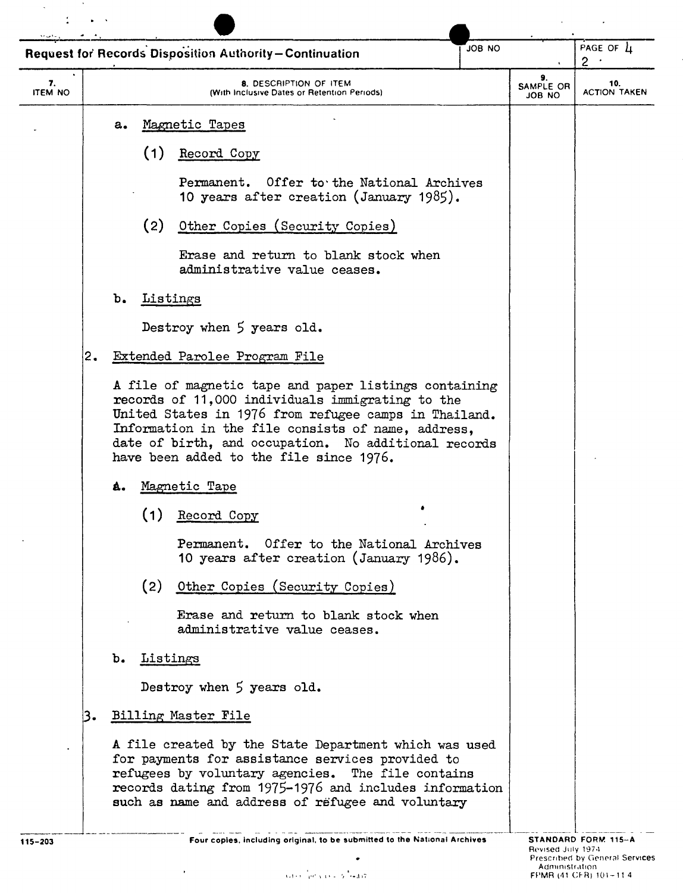|                      |     |    |          | <b>Request for Records Disposition Authority-Continuation</b>                                                                                                                                                                                                                                                               | ON 8OL |                                  | PAGE OF $\mu$<br>$2^{\circ}$ |
|----------------------|-----|----|----------|-----------------------------------------------------------------------------------------------------------------------------------------------------------------------------------------------------------------------------------------------------------------------------------------------------------------------------|--------|----------------------------------|------------------------------|
| 7.<br><b>ITEM NO</b> |     |    |          | 8. DESCRIPTION OF ITEM<br>(With Inclusive Dates or Retention Periods).                                                                                                                                                                                                                                                      |        | 9.<br>SAMPLE OR<br><b>ON 8OL</b> | 10.<br><b>ACTION TAKEN</b>   |
|                      |     | a. |          | Magnetic Tapes                                                                                                                                                                                                                                                                                                              |        |                                  |                              |
|                      |     |    | (1)      | Record Copy                                                                                                                                                                                                                                                                                                                 |        |                                  |                              |
|                      |     |    |          | Permanent. Offer to the National Archives<br>10 years after creation (January 1985).                                                                                                                                                                                                                                        |        |                                  |                              |
|                      |     |    | (2)      | Other Copies (Security Copies)                                                                                                                                                                                                                                                                                              |        |                                  |                              |
|                      |     |    |          | Erase and return to blank stock when<br>administrative value ceases.                                                                                                                                                                                                                                                        |        |                                  |                              |
|                      |     | b. | Listings |                                                                                                                                                                                                                                                                                                                             |        |                                  |                              |
|                      |     |    |          | Destroy when 5 years old.                                                                                                                                                                                                                                                                                                   |        |                                  |                              |
|                      | 2.  |    |          | Extended Parolee Program File                                                                                                                                                                                                                                                                                               |        |                                  |                              |
|                      |     |    |          | A file of magnetic tape and paper listings containing<br>records of 11,000 individuals immigrating to the<br>United States in 1976 from refugee camps in Thailand.<br>Information in the file consists of name, address,<br>date of birth, and occupation. No additional records<br>have been added to the file since 1976. |        |                                  |                              |
|                      |     | â. |          | Magnetic Tape                                                                                                                                                                                                                                                                                                               |        |                                  |                              |
|                      |     |    | (1)      | Record Copy                                                                                                                                                                                                                                                                                                                 |        |                                  |                              |
|                      |     |    |          | Offer to the National Archives<br>Permanent.<br>10 years after creation (January 1986).                                                                                                                                                                                                                                     |        |                                  |                              |
|                      |     |    | (2)      | Other Copies (Security Copies)                                                                                                                                                                                                                                                                                              |        |                                  |                              |
|                      |     |    |          | Erase and return to blank stock when<br>administrative value ceases.                                                                                                                                                                                                                                                        |        |                                  |                              |
|                      |     | b. | Listings |                                                                                                                                                                                                                                                                                                                             |        |                                  |                              |
|                      |     |    |          | Destroy when 5 years old.                                                                                                                                                                                                                                                                                                   |        |                                  |                              |
|                      | ا3. |    |          | Billing Master File                                                                                                                                                                                                                                                                                                         |        |                                  |                              |
|                      |     |    |          | A file created by the State Department which was used<br>for payments for assistance services provided to<br>refugees by voluntary agencies. The file contains<br>records dating from 1975-1976 and includes information<br>such as name and address of refugee and voluntary                                               |        |                                  |                              |
|                      |     |    |          |                                                                                                                                                                                                                                                                                                                             |        |                                  |                              |

 $\ddot{\phantom{1}}$ 

 $\label{eq:2} \frac{1}{\sqrt{2}}\sum_{i=1}^n\frac{1}{\sqrt{2\pi}}\int_{0}^{\sqrt{2\pi}}\frac{1}{\sqrt{2\pi}}\left(\frac{1}{\sqrt{2\pi}}\right)^2\frac{1}{\sqrt{2\pi}}\int_{0}^{\sqrt{2\pi}}\frac{1}{\sqrt{2\pi}}\frac{1}{\sqrt{2\pi}}\frac{1}{\sqrt{2\pi}}\frac{1}{\sqrt{2\pi}}\frac{1}{\sqrt{2\pi}}\frac{1}{\sqrt{2\pi}}\frac{1}{\sqrt{2\pi}}\frac{1}{\sqrt{2\pi}}\frac{1}{\sqrt{2\pi}}\frac{1}{\$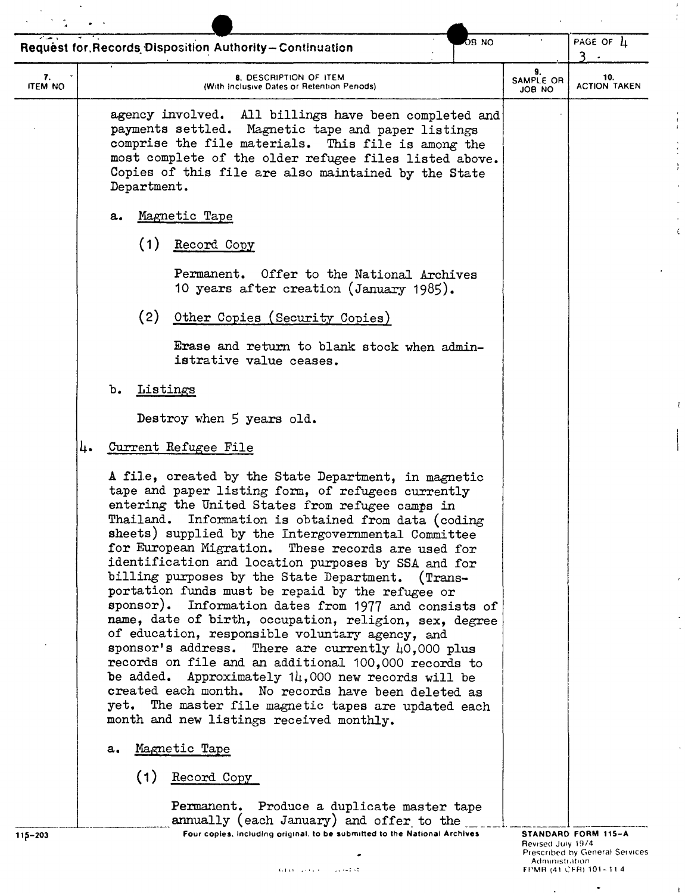|                      | ов мо<br>Request for, Records Disposition Authority-Continuation                                                                                                                                                                                                                                                                                                                                                                                                                                                                                                                                                                                                                                                                                                                                                                                                                                                                                                                                             |                           | PAGE OF $\mu$<br>٦         |
|----------------------|--------------------------------------------------------------------------------------------------------------------------------------------------------------------------------------------------------------------------------------------------------------------------------------------------------------------------------------------------------------------------------------------------------------------------------------------------------------------------------------------------------------------------------------------------------------------------------------------------------------------------------------------------------------------------------------------------------------------------------------------------------------------------------------------------------------------------------------------------------------------------------------------------------------------------------------------------------------------------------------------------------------|---------------------------|----------------------------|
| 7.<br><b>ITEM NO</b> | <b>8. DESCRIPTION OF ITEM</b><br>(With Inclusive Dates or Retention Periods)                                                                                                                                                                                                                                                                                                                                                                                                                                                                                                                                                                                                                                                                                                                                                                                                                                                                                                                                 | 9.<br>SAMPLE OR<br>ON BOL | 10.<br><b>ACTION TAKEN</b> |
|                      | agency involved. All billings have been completed and<br>payments settled. Magnetic tape and paper listings<br>comprise the file materials. This file is among the<br>most complete of the older refugee files listed above.<br>Copies of this file are also maintained by the State<br>Department.                                                                                                                                                                                                                                                                                                                                                                                                                                                                                                                                                                                                                                                                                                          |                           |                            |
|                      | Magnetic Tape<br>a.                                                                                                                                                                                                                                                                                                                                                                                                                                                                                                                                                                                                                                                                                                                                                                                                                                                                                                                                                                                          |                           |                            |
|                      | (1)<br>Record Copy                                                                                                                                                                                                                                                                                                                                                                                                                                                                                                                                                                                                                                                                                                                                                                                                                                                                                                                                                                                           |                           |                            |
|                      | Permanent. Offer to the National Archives<br>10 years after creation (January 1985).                                                                                                                                                                                                                                                                                                                                                                                                                                                                                                                                                                                                                                                                                                                                                                                                                                                                                                                         |                           |                            |
|                      | (2)<br>Other Copies (Security Copies)                                                                                                                                                                                                                                                                                                                                                                                                                                                                                                                                                                                                                                                                                                                                                                                                                                                                                                                                                                        |                           |                            |
|                      | Erase and return to blank stock when admin-<br>istrative value ceases.                                                                                                                                                                                                                                                                                                                                                                                                                                                                                                                                                                                                                                                                                                                                                                                                                                                                                                                                       |                           |                            |
|                      | $\mathbf{b}_{\bullet}$<br><b>Listings</b>                                                                                                                                                                                                                                                                                                                                                                                                                                                                                                                                                                                                                                                                                                                                                                                                                                                                                                                                                                    |                           |                            |
|                      | Destroy when 5 years old.                                                                                                                                                                                                                                                                                                                                                                                                                                                                                                                                                                                                                                                                                                                                                                                                                                                                                                                                                                                    |                           |                            |
| 4.                   | Current Refugee File                                                                                                                                                                                                                                                                                                                                                                                                                                                                                                                                                                                                                                                                                                                                                                                                                                                                                                                                                                                         |                           |                            |
|                      | A file, created by the State Department, in magnetic<br>tape and paper listing form, of refugees currently<br>entering the United States from refugee camps in<br>Information is obtained from data (coding<br>Thailand.<br>sheets) supplied by the Intergovernmental Committee<br>for European Migration. These records are used for<br>identification and location purposes by SSA and for<br>billing purposes by the State Department. (Trans-<br>portation funds must be repaid by the refugee or<br>sponsor). Information dates from 1977 and consists of<br>name, date of birth, occupation, religion, sex, degree<br>of education, responsible voluntary agency, and<br>sponsor's address. There are currently 40,000 plus<br>records on file and an additional 100,000 records to<br>be added. Approximately $14,000$ new records will be<br>created each month. No records have been deleted as<br>yet. The master file magnetic tapes are updated each<br>month and new listings received monthly. |                           |                            |
|                      | Magnetic Tape<br>а.                                                                                                                                                                                                                                                                                                                                                                                                                                                                                                                                                                                                                                                                                                                                                                                                                                                                                                                                                                                          |                           |                            |
|                      | (1)<br>Record Copy                                                                                                                                                                                                                                                                                                                                                                                                                                                                                                                                                                                                                                                                                                                                                                                                                                                                                                                                                                                           |                           |                            |
|                      | Permanent. Produce a duplicate master tape                                                                                                                                                                                                                                                                                                                                                                                                                                                                                                                                                                                                                                                                                                                                                                                                                                                                                                                                                                   |                           |                            |
| 115-203              | annually (each January) and offer to the<br>Four copies, including original, to be submitted to the National Archives                                                                                                                                                                                                                                                                                                                                                                                                                                                                                                                                                                                                                                                                                                                                                                                                                                                                                        |                           | STANDARD FORM 115-A        |

**Contract Contract** 

 $\ddot{\phantom{0}}$ 

 $\frac{k}{4}$ 

 $\begin{array}{c} \bullet \\ \bullet \\ \bullet \\ \bullet \end{array}$ 

 $\frac{1}{2}$  $\overline{\phantom{a}}$  $\ddot{\phantom{0}}$  $\zeta$ 

l,

 $\mathbf{I}$ 

 $\bullet$ 

 $\ddot{\phantom{1}}$